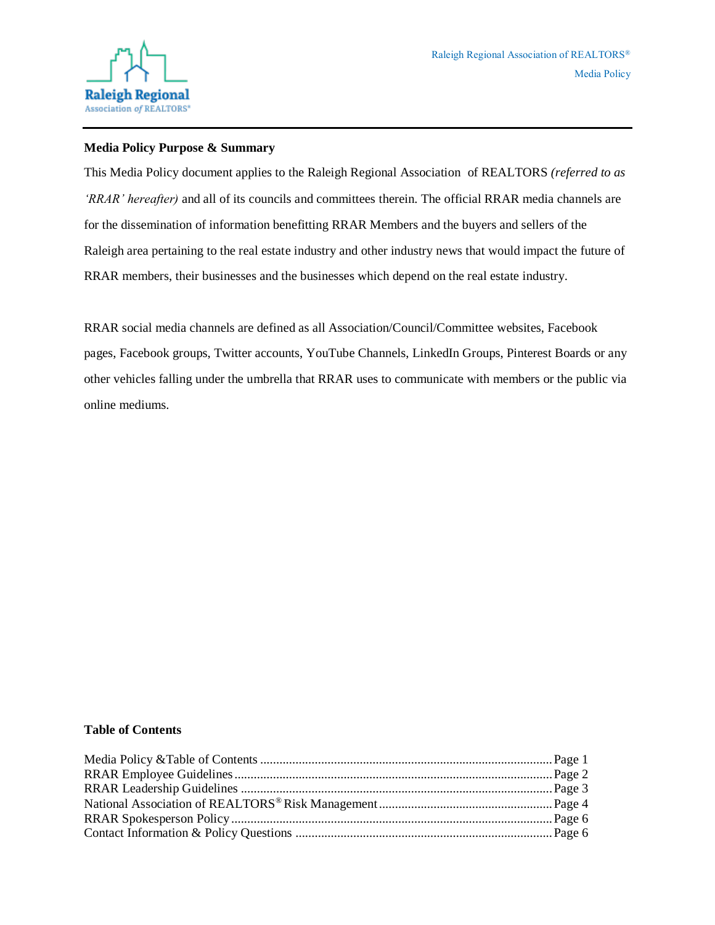

#### **Media Policy Purpose & Summary**

This Media Policy document applies to the Raleigh Regional Association of REALTORS *(referred to as 'RRAR' hereafter)* and all of its councils and committees therein. The official RRAR media channels are for the dissemination of information benefitting RRAR Members and the buyers and sellers of the Raleigh area pertaining to the real estate industry and other industry news that would impact the future of RRAR members, their businesses and the businesses which depend on the real estate industry.

RRAR social media channels are defined as all Association/Council/Committee websites, Facebook pages, Facebook groups, Twitter accounts, YouTube Channels, LinkedIn Groups, Pinterest Boards or any other vehicles falling under the umbrella that RRAR uses to communicate with members or the public via online mediums.

#### **Table of Contents**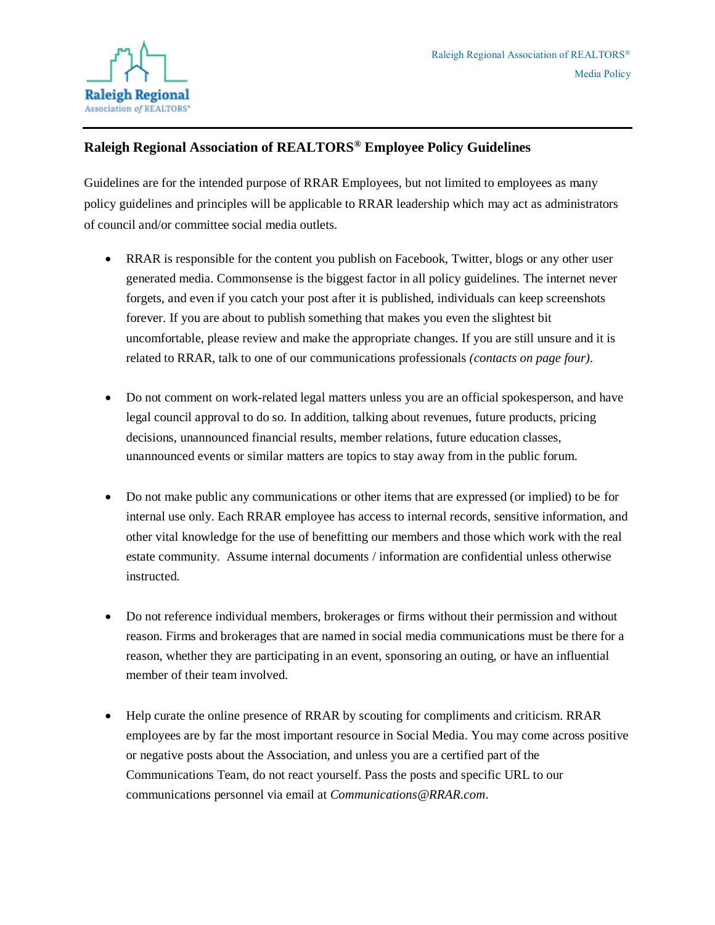

# **Raleigh Regional Association of REALTORS® Employee Policy Guidelines**

Guidelines are for the intended purpose of RRAR Employees, but not limited to employees as many policy guidelines and principles will be applicable to RRAR leadership which may act as administrators of council and/or committee social media outlets.

- RRAR is responsible for the content you publish on Facebook, Twitter, blogs or any other user generated media. Commonsense is the biggest factor in all policy guidelines. The internet never forgets, and even if you catch your post after it is published, individuals can keep screenshots forever. If you are about to publish something that makes you even the slightest bit uncomfortable, please review and make the appropriate changes. If you are still unsure and it is related to RRAR, talk to one of our communications professionals *(contacts on page four).*
- Do not comment on work-related legal matters unless you are an official spokesperson, and have legal council approval to do so. In addition, talking about revenues, future products, pricing decisions, unannounced financial results, member relations, future education classes, unannounced events or similar matters are topics to stay away from in the public forum.
- Do not make public any communications or other items that are expressed (or implied) to be for internal use only. Each RRAR employee has access to internal records, sensitive information, and other vital knowledge for the use of benefitting our members and those which work with the real estate community. Assume internal documents / information are confidential unless otherwise instructed.
- Do not reference individual members, brokerages or firms without their permission and without reason. Firms and brokerages that are named in social media communications must be there for a reason, whether they are participating in an event, sponsoring an outing, or have an influential member of their team involved.
- Help curate the online presence of RRAR by scouting for compliments and criticism. RRAR employees are by far the most important resource in Social Media. You may come across positive or negative posts about the Association, and unless you are a certified part of the Communications Team, do not react yourself. Pass the posts and specific URL to our communications personnel via email at *Communications@RRAR.com*.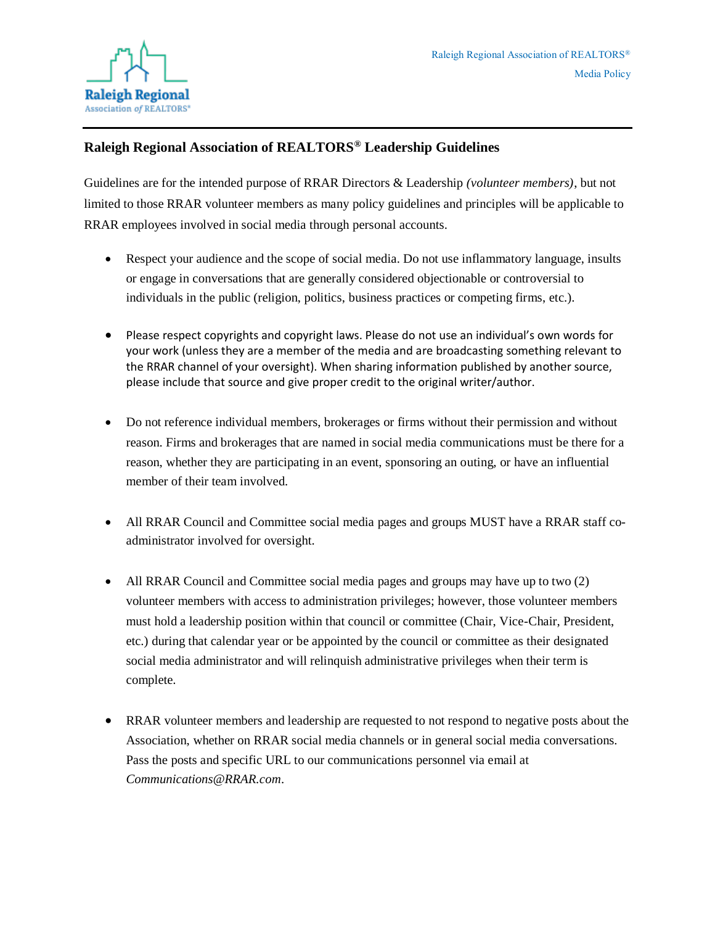

# **Raleigh Regional Association of REALTORS® Leadership Guidelines**

Guidelines are for the intended purpose of RRAR Directors & Leadership *(volunteer members)*, but not limited to those RRAR volunteer members as many policy guidelines and principles will be applicable to RRAR employees involved in social media through personal accounts.

- Respect your audience and the scope of social media. Do not use inflammatory language, insults or engage in conversations that are generally considered objectionable or controversial to individuals in the public (religion, politics, business practices or competing firms, etc.).
- Please respect copyrights and copyright laws. Please do not use an individual's own words for your work (unless they are a member of the media and are broadcasting something relevant to the RRAR channel of your oversight). When sharing information published by another source, please include that source and give proper credit to the original writer/author.
- Do not reference individual members, brokerages or firms without their permission and without reason. Firms and brokerages that are named in social media communications must be there for a reason, whether they are participating in an event, sponsoring an outing, or have an influential member of their team involved.
- All RRAR Council and Committee social media pages and groups MUST have a RRAR staff coadministrator involved for oversight.
- All RRAR Council and Committee social media pages and groups may have up to two (2) volunteer members with access to administration privileges; however, those volunteer members must hold a leadership position within that council or committee (Chair, Vice-Chair, President, etc.) during that calendar year or be appointed by the council or committee as their designated social media administrator and will relinquish administrative privileges when their term is complete.
- RRAR volunteer members and leadership are requested to not respond to negative posts about the Association, whether on RRAR social media channels or in general social media conversations. Pass the posts and specific URL to our communications personnel via email at *Communications@RRAR.com*.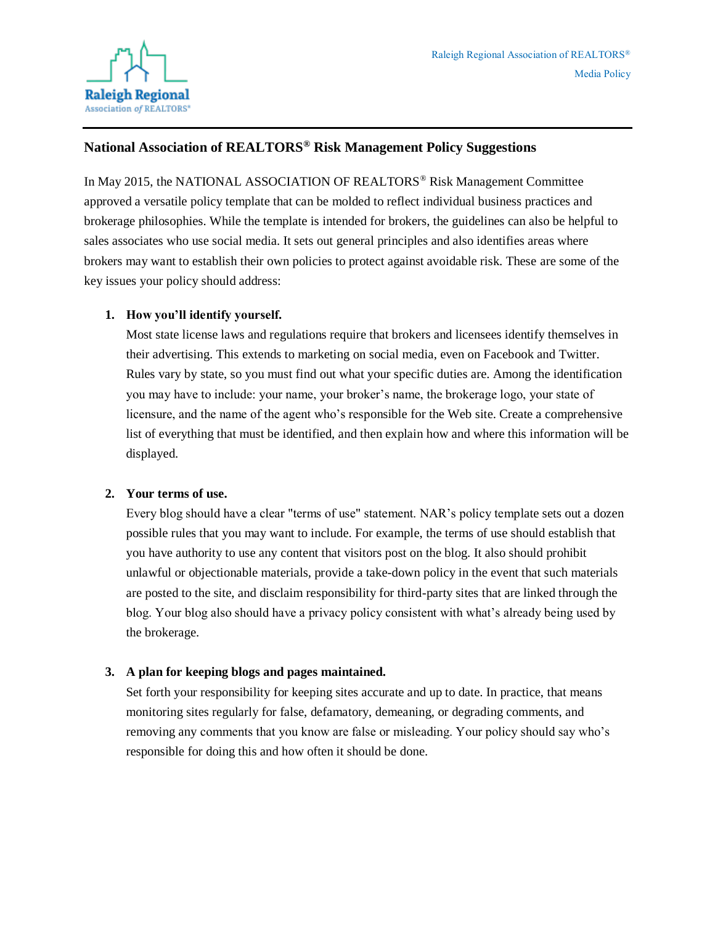

### **National Association of REALTORS® Risk Management Policy Suggestions**

In May 2015, the NATIONAL ASSOCIATION OF REALTORS<sup>®</sup> Risk Management Committee approved a versatile policy template that can be molded to reflect individual business practices and brokerage philosophies. While the template is intended for brokers, the guidelines can also be helpful to sales associates who use social media. It sets out general principles and also identifies areas where brokers may want to establish their own policies to protect against avoidable risk. These are some of the key issues your policy should address:

#### **1. How you'll identify yourself.**

Most state license laws and regulations require that brokers and licensees identify themselves in their advertising. This extends to marketing on social media, even on Facebook and Twitter. Rules vary by state, so you must find out what your specific duties are. Among the identification you may have to include: your name, your broker's name, the brokerage logo, your state of licensure, and the name of the agent who's responsible for the Web site. Create a comprehensive list of everything that must be identified, and then explain how and where this information will be displayed.

#### **2. Your terms of use.**

Every blog should have a clear "terms of use" statement. NAR's policy template sets out a dozen possible rules that you may want to include. For example, the terms of use should establish that you have authority to use any content that visitors post on the blog. It also should prohibit unlawful or objectionable materials, provide a take-down policy in the event that such materials are posted to the site, and disclaim responsibility for third-party sites that are linked through the blog. Your blog also should have a privacy policy consistent with what's already being used by the brokerage.

#### **3. A plan for keeping blogs and pages maintained.**

Set forth your responsibility for keeping sites accurate and up to date. In practice, that means monitoring sites regularly for false, defamatory, demeaning, or degrading comments, and removing any comments that you know are false or misleading. Your policy should say who's responsible for doing this and how often it should be done.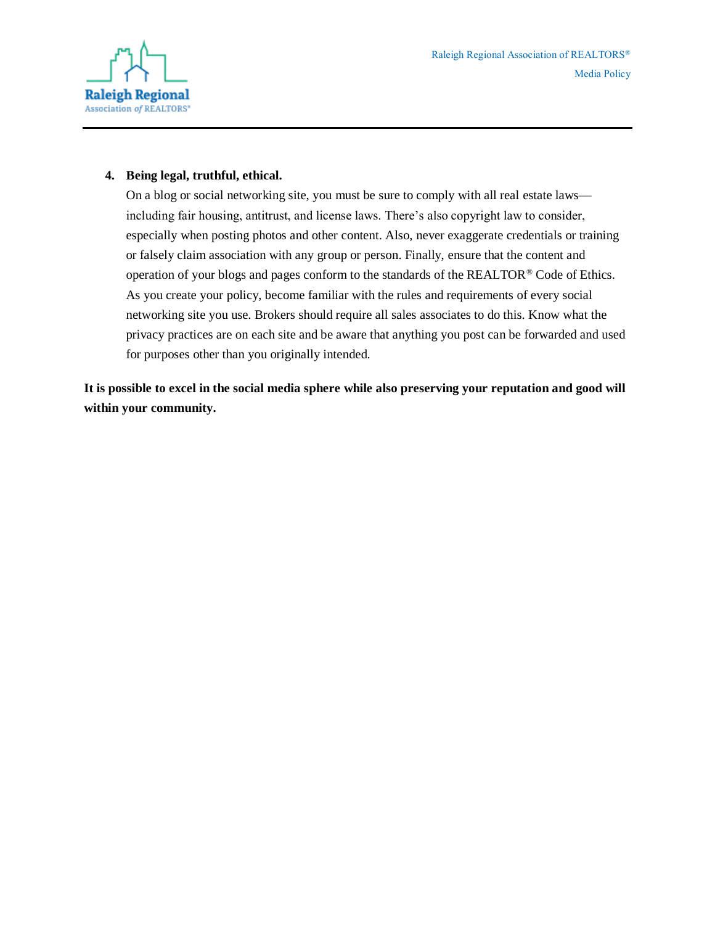

#### **4. Being legal, truthful, ethical.**

On a blog or social networking site, you must be sure to comply with all real estate laws including fair housing, antitrust, and license laws. There's also copyright law to consider, especially when posting photos and other content. Also, never exaggerate credentials or training or falsely claim association with any group or person. Finally, ensure that the content and operation of your blogs and pages conform to the standards of the REALTOR® Code of Ethics. As you create your policy, become familiar with the rules and requirements of every social networking site you use. Brokers should require all sales associates to do this. Know what the privacy practices are on each site and be aware that anything you post can be forwarded and used for purposes other than you originally intended.

**It is possible to excel in the social media sphere while also preserving your reputation and good will within your community.**